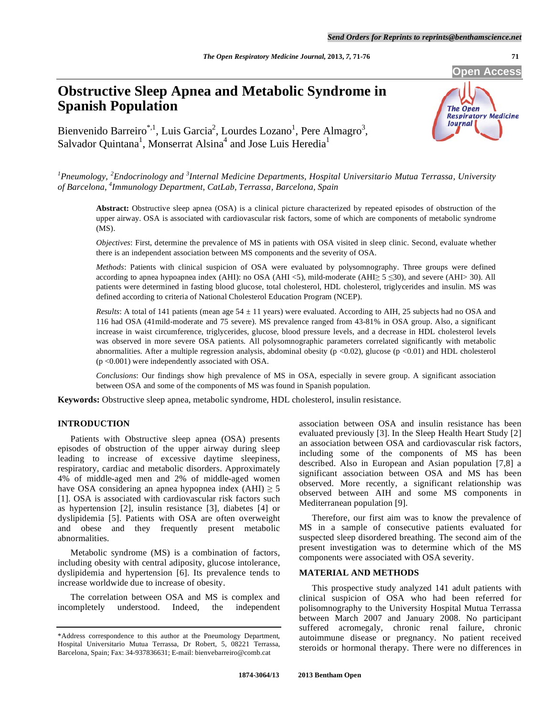**Open Access** 

# **Obstructive Sleep Apnea and Metabolic Syndrome in Spanish Population**

**The Open Respiratory Medicine** Journal

Bienvenido Barreiro\*,<sup>1</sup>, Luis Garcia<sup>2</sup>, Lourdes Lozano<sup>1</sup>, Pere Almagro<sup>3</sup>, Salvador Quintana<sup>1</sup>, Monserrat Alsina<sup>4</sup> and Jose Luis Heredia<sup>1</sup>

<sup>1</sup> Pneumology, <sup>2</sup> Endocrinology and <sup>3</sup> Internal Medicine Departments, Hospital Universitario Mutua Terrassa, University *of Barcelona, 4 Immunology Department, CatLab, Terrassa, Barcelona, Spain* 

**Abstract:** Obstructive sleep apnea (OSA) is a clinical picture characterized by repeated episodes of obstruction of the upper airway. OSA is associated with cardiovascular risk factors, some of which are components of metabolic syndrome (MS).

*Objectives*: First, determine the prevalence of MS in patients with OSA visited in sleep clinic. Second, evaluate whether there is an independent association between MS components and the severity of OSA.

*Methods*: Patients with clinical suspicion of OSA were evaluated by polysomnography. Three groups were defined according to apnea hypoapnea index (AHI): no OSA (AHI <5), mild-moderate (AHI $\ge$  5  $\le$ 30), and severe (AHI $>$  30). All patients were determined in fasting blood glucose, total cholesterol, HDL cholesterol, triglycerides and insulin. MS was defined according to criteria of National Cholesterol Education Program (NCEP).

*Results*: A total of 141 patients (mean age  $54 \pm 11$  years) were evaluated. According to AIH, 25 subjects had no OSA and 116 had OSA (41mild-moderate and 75 severe). MS prevalence ranged from 43-81% in OSA group. Also, a significant increase in waist circumference, triglycerides, glucose, blood pressure levels, and a decrease in HDL cholesterol levels was observed in more severe OSA patients. All polysomnographic parameters correlated significantly with metabolic abnormalities. After a multiple regression analysis, abdominal obesity ( $p \lt 0.02$ ), glucose ( $p \lt 0.01$ ) and HDL cholesterol (p <0.001) were independently associated with OSA.

*Conclusions*: Our findings show high prevalence of MS in OSA, especially in severe group. A significant association between OSA and some of the components of MS was found in Spanish population.

**Keywords:** Obstructive sleep apnea, metabolic syndrome, HDL cholesterol, insulin resistance.

# **INTRODUCTION**

 Patients with Obstructive sleep apnea (OSA) presents episodes of obstruction of the upper airway during sleep leading to increase of excessive daytime sleepiness, respiratory, cardiac and metabolic disorders. Approximately 4% of middle-aged men and 2% of middle-aged women have OSA considering an apnea hypopnea index  $(AHI) \ge 5$ [1]. OSA is associated with cardiovascular risk factors such as hypertension [2], insulin resistance [3], diabetes [4] or dyslipidemia [5]. Patients with OSA are often overweight and obese and they frequently present metabolic abnormalities.

 Metabolic syndrome (MS) is a combination of factors, including obesity with central adiposity, glucose intolerance, dyslipidemia and hypertension [6]. Its prevalence tends to increase worldwide due to increase of obesity.

 The correlation between OSA and MS is complex and incompletely understood. Indeed, the independent

association between OSA and insulin resistance has been evaluated previously [3]. In the Sleep Health Heart Study [2] an association between OSA and cardiovascular risk factors, including some of the components of MS has been described. Also in European and Asian population [7,8] a significant association between OSA and MS has been observed. More recently, a significant relationship was observed between AIH and some MS components in Mediterranean population [9].

 Therefore, our first aim was to know the prevalence of MS in a sample of consecutive patients evaluated for suspected sleep disordered breathing. The second aim of the present investigation was to determine which of the MS components were associated with OSA severity.

### **MATERIAL AND METHODS**

 This prospective study analyzed 141 adult patients with clinical suspicion of OSA who had been referred for polisomnography to the University Hospital Mutua Terrassa between March 2007 and January 2008. No participant suffered acromegaly, chronic renal failure, chronic autoimmune disease or pregnancy. No patient received steroids or hormonal therapy. There were no differences in

<sup>\*</sup>Address correspondence to this author at the Pneumology Department, Hospital Universitario Mutua Terrassa, Dr Robert, 5, 08221 Terrassa, Barcelona, Spain; Fax: 34-937836631; E-mail: bienvebarreiro@comb.cat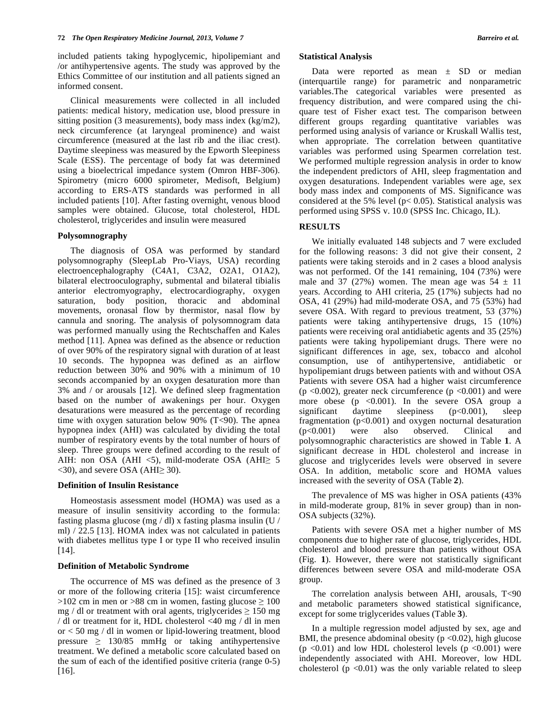included patients taking hypoglycemic, hipolipemiant and /or antihypertensive agents. The study was approved by the Ethics Committee of our institution and all patients signed an informed consent.

 Clinical measurements were collected in all included patients: medical history, medication use, blood pressure in sitting position (3 measurements), body mass index (kg/m2), neck circumference (at laryngeal prominence) and waist circumference (measured at the last rib and the iliac crest). Daytime sleepiness was measured by the Epworth Sleepiness Scale (ESS). The percentage of body fat was determined using a bioelectrical impedance system (Omron HBF-306). Spirometry (micro 6000 spirometer, Medisoft, Belgium) according to ERS-ATS standards was performed in all included patients [10]. After fasting overnight, venous blood samples were obtained. Glucose, total cholesterol, HDL cholesterol, triglycerides and insulin were measured

## **Polysomnography**

 The diagnosis of OSA was performed by standard polysomnography (SleepLab Pro-Viays, USA) recording electroencephalography (C4A1, C3A2, O2A1, O1A2), bilateral electrooculography, submental and bilateral tibialis anterior electromyography, electrocardiography, oxygen saturation, body position, thoracic and abdominal movements, oronasal flow by thermistor, nasal flow by cannula and snoring. The analysis of polysomnogram data was performed manually using the Rechtschaffen and Kales method [11]. Apnea was defined as the absence or reduction of over 90% of the respiratory signal with duration of at least 10 seconds. The hypopnea was defined as an airflow reduction between 30% and 90% with a minimum of 10 seconds accompanied by an oxygen desaturation more than 3% and / or arousals [12]. We defined sleep fragmentation based on the number of awakenings per hour. Oxygen desaturations were measured as the percentage of recording time with oxygen saturation below 90% (T<90). The apnea hypopnea index (AHI) was calculated by dividing the total number of respiratory events by the total number of hours of sleep. Three groups were defined according to the result of AIH: non OSA (AHI  $\lt 5$ ), mild-moderate OSA (AHI $\ge 5$  $\langle$ 30), and severe OSA (AHI $\geq$ 30).

#### **Definition of Insulin Resistance**

 Homeostasis assessment model (HOMA) was used as a measure of insulin sensitivity according to the formula: fasting plasma glucose (mg / dl) x fasting plasma insulin (U / ml) / 22.5 [13]. HOMA index was not calculated in patients with diabetes mellitus type I or type II who received insulin [14].

#### **Definition of Metabolic Syndrome**

 The occurrence of MS was defined as the presence of 3 or more of the following criteria [15]: waist circumference  $>102$  cm in men or  $>88$  cm in women, fasting glucose  $\geq 100$ mg / dl or treatment with oral agents, triglycerides  $\geq 150$  mg / dl or treatment for it, HDL cholesterol <40 mg / dl in men or < 50 mg / dl in women or lipid-lowering treatment, blood pressure  $\geq$  130/85 mmHg or taking antihypertensive treatment. We defined a metabolic score calculated based on the sum of each of the identified positive criteria (range 0-5) [16].

#### **Statistical Analysis**

Data were reported as mean  $\pm$  SD or median (interquartile range) for parametric and nonparametric variables.The categorical variables were presented as frequency distribution, and were compared using the chiquare test of Fisher exact test. The comparison between different groups regarding quantitative variables was performed using analysis of variance or Kruskall Wallis test, when appropriate. The correlation between quantitative variables was performed using Spearmen correlation test. We performed multiple regression analysis in order to know the independent predictors of AHI, sleep fragmentation and oxygen desaturations. Independent variables were age, sex body mass index and components of MS. Significance was considered at the 5% level ( $p < 0.05$ ). Statistical analysis was performed using SPSS v. 10.0 (SPSS Inc. Chicago, IL).

## **RESULTS**

 We initially evaluated 148 subjects and 7 were excluded for the following reasons: 3 did not give their consent, 2 patients were taking steroids and in 2 cases a blood analysis was not performed. Of the 141 remaining, 104 (73%) were male and 37 (27%) women. The mean age was  $54 \pm 11$ years. According to AHI criteria, 25 (17%) subjects had no OSA, 41 (29%) had mild-moderate OSA, and 75 (53%) had severe OSA. With regard to previous treatment, 53 (37%) patients were taking antihypertensive drugs, 15 (10%) patients were receiving oral antidiabetic agents and 35 (25%) patients were taking hypolipemiant drugs. There were no significant differences in age, sex, tobacco and alcohol consumption, use of antihypertensive, antidiabetic or hypolipemiant drugs between patients with and without OSA Patients with severe OSA had a higher waist circumference (p  $\langle 0.002 \rangle$ , greater neck circumference (p  $\langle 0.001 \rangle$ ) and were more obese ( $p \leq 0.001$ ). In the severe OSA group a significant daytime sleepiness  $(p<0.001)$ , sleep fragmentation  $(p<0.001)$  and oxygen nocturnal desaturation (p<0.001) were also observed. Clinical and polysomnographic characteristics are showed in Table **1**. A significant decrease in HDL cholesterol and increase in glucose and triglycerides levels were observed in severe OSA. In addition, metabolic score and HOMA values increased with the severity of OSA (Table **2**).

 The prevalence of MS was higher in OSA patients (43% in mild-moderate group, 81% in sever group) than in non-OSA subjects (32%).

 Patients with severe OSA met a higher number of MS components due to higher rate of glucose, triglycerides, HDL cholesterol and blood pressure than patients without OSA (Fig. **1**). However, there were not statistically significant differences between severe OSA and mild-moderate OSA group.

 The correlation analysis between AHI, arousals, T<90 and metabolic parameters showed statistical significance, except for some triglycerides values (Table **3**).

 In a multiple regression model adjusted by sex, age and BMI, the presence abdominal obesity ( $p < 0.02$ ), high glucose  $(p \le 0.01)$  and low HDL cholesterol levels  $(p \le 0.001)$  were independently associated with AHI. Moreover, low HDL cholesterol ( $p \le 0.01$ ) was the only variable related to sleep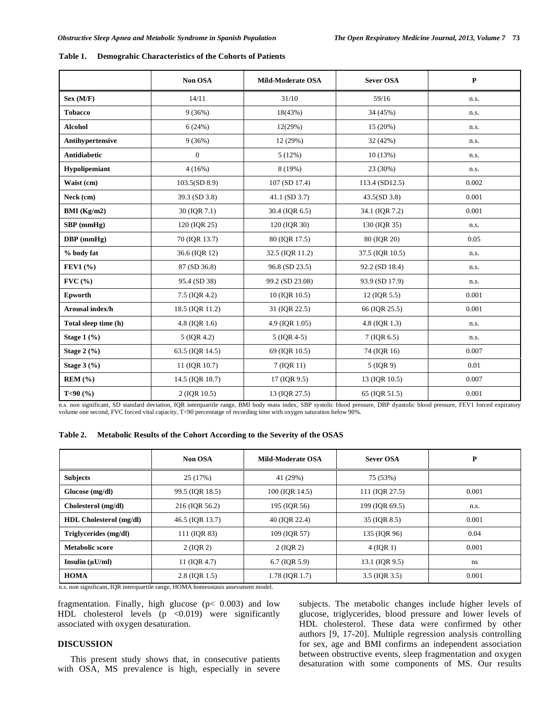| Table 1. |  |  |  | <b>Demograhic Characteristics of the Cohorts of Patients</b> |
|----------|--|--|--|--------------------------------------------------------------|
|----------|--|--|--|--------------------------------------------------------------|

|                                   | Non OSA          | Mild-Moderate OSA | <b>Sever OSA</b> | $\mathbf{P}$ |
|-----------------------------------|------------------|-------------------|------------------|--------------|
| Sex (M/F)                         | 14/11            | 31/10             | 59/16            | n.s.         |
| <b>Tobacco</b>                    | 9(36%)           | 18(43%)           | 34 (45%)         | n.s.         |
| <b>Alcohol</b>                    | 6(24%)           | 12(29%)           | 15 (20%)         | n.s.         |
| Antihypertensive                  | 9(36%)           | 12 (29%)          | 32(42%)          | n.s.         |
| <b>Antidiabetic</b>               | $\boldsymbol{0}$ | 5(12%)            | 10(13%)          | n.s.         |
| Hypolipemiant                     | 4(16%)           | 8(19%)            | 23 (30%)         | n.s.         |
| Waist (cm)                        | 103.5(SD 8.9)    | 107 (SD 17.4)     | 113.4 (SD12.5)   | 0.002        |
| Neck (cm)                         | 39.3 (SD 3.8)    | 41.1 (SD 3.7)     | 43.5(SD 3.8)     | 0.001        |
| BMI (Kg/m2)                       | 30 (IQR 7.1)     | 30.4 (IQR 6.5)    | 34.1 (IQR 7.2)   | 0.001        |
| $SBP$ (mmHg)                      | 120 (IQR 25)     | 120 (IQR 30)      | 130 (IQR 35)     | n.s.         |
| $DBP$ (mmHg)                      | 70 (IQR 13.7)    | 80 (IQR 17.5)     | 80 (IQR 20)      | 0.05         |
| % body fat                        | 36.6 (IQR 12)    | 32.5 (IQR 11.2)   | 37.5 (IQR 10.5)  | n.s.         |
| FEV1(%)                           | 87 (SD 36.8)     | 96.8 (SD 23.5)    | 92.2 (SD 18.4)   | n.s.         |
| $\text{FVC}$ (%)                  | 95.4 (SD 38)     | 99.2 (SD 23.08)   | 93.9 (SD 17.9)   | n.s.         |
| Epworth                           | 7.5 (IOR 4.2)    | 10 (IOR 10.5)     | 12 (IQR 5.5)     | 0.001        |
| Arousal index/h                   | 18.5 (IQR 11.2)  | 31 (IQR 22.5)     | 66 (IQR 25.5)    | 0.001        |
| Total sleep time (h)              | 4.8 (IQR 1.6)    | 4.9 (IQR 1.05)    | 4.8 (IQR 1.3)    | n.s.         |
| Stage $1\left(\frac{9}{6}\right)$ | 5 (IQR 4.2)      | 5 (IQR 4-5)       | $7$ (IQR 6.5)    | n.s.         |
| Stage $2(%)$                      | 63.5 (IQR 14.5)  | 69 (IOR 10.5)     | 74 (IQR 16)      | 0.007        |
| Stage $3(%)$                      | 11 (IQR 10.7)    | 7 (IQR 11)        | $5$ (IQR 9)      | 0.01         |
| $REM$ $(\% )$                     | 14.5 (IQR 18.7)  | 17 (IQR 9.5)      | 13 (IQR 10.5)    | 0.007        |
| T<90 $(%$                         | 2 (IQR 10.5)     | 13 (IQR 27.5)     | 65 (IQR 51.5)    | 0.001        |

n.s. non significant, SD standard deviation, IQR interquartile range, BMI body mass index, SBP systolic blood pressure, DBP dyastolic blood pressure, FEV1 forced expiratory volume one second, FVC forced vital capacity, T<90 percentatge of recording time with oxygen saturation below 90%.

|  |  |  | Table 2. Metabolic Results of the Cohort According to the Severity of the OSAS |
|--|--|--|--------------------------------------------------------------------------------|
|  |  |  |                                                                                |

|                                | Non OSA         | Mild-Moderate OSA | <b>Sever OSA</b> | P     |
|--------------------------------|-----------------|-------------------|------------------|-------|
| <b>Subjects</b>                | 25 (17%)        | 41 (29%)          | 75 (53%)         |       |
| Glucose (mg/dl)                | 99.5 (IQR 18.5) | 100 (IQR 14.5)    | 111 (IQR 27.5)   | 0.001 |
| Cholesterol (mg/dl)            | 216 (IQR 56.2)  | 195 (IQR 56)      | 199 (IQR 69.5)   | n.s.  |
| <b>HDL Cholesterol (mg/dl)</b> | 46.5 (IOR 13.7) | 40 (IOR 22.4)     | 35 (IQR 8.5)     | 0.001 |
| Triglycerides (mg/dl)          | 111 (IQR 83)    | 109 (IOR 57)      | 135 (IQR 96)     | 0.04  |
| <b>Metabolic score</b>         | 2 (IQR 2)       | 2 (IQR 2)         | $4$ (IQR 1)      | 0.001 |
| Insulin $(\mu U/ml)$           | 11 (IQR 4.7)    | $6.7$ (IQR 5.9)   | 13.1 (IQR 9.5)   | ns    |
| <b>HOMA</b>                    | $2.8$ (IQR 1.5) | 1.78 (IOR 1.7)    | 3.5 (IQR 3.5)    | 0.001 |

n.s. non significant, IQR interquartile range, HOMA homeostasis assessment model.

fragmentation. Finally, high glucose ( $p < 0.003$ ) and low HDL cholesterol levels  $(p \lt 0.019)$  were significantly associated with oxygen desaturation.

# **DISCUSSION**

 This present study shows that, in consecutive patients with OSA, MS prevalence is high, especially in severe subjects. The metabolic changes include higher levels of glucose, triglycerides, blood pressure and lower levels of HDL cholesterol. These data were confirmed by other authors [9, 17-20]. Multiple regression analysis controlling for sex, age and BMI confirms an independent association between obstructive events, sleep fragmentation and oxygen desaturation with some components of MS. Our results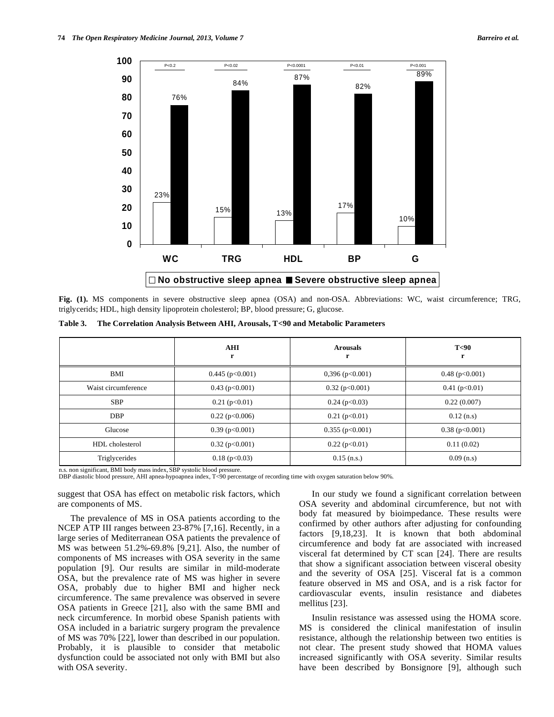

**Fig. (1).** MS components in severe obstructive sleep apnea (OSA) and non-OSA. Abbreviations: WC, waist circumference; TRG, triglycerids; HDL, high density lipoprotein cholesterol; BP, blood pressure; G, glucose.

|  |  | Table 3. The Correlation Analysis Between AHI, Arousals, T<90 and Metabolic Parameters |
|--|--|----------------------------------------------------------------------------------------|
|  |  |                                                                                        |

|                     | <b>AHI</b><br>r     | <b>Arousals</b><br>r | T <sub>0</sub><br>r |
|---------------------|---------------------|----------------------|---------------------|
| BMI                 | $0.445$ (p<0.001)   | $0,396$ (p<0.001)    | $0.48$ (p<0.001)    |
| Waist circumference | $0.43$ (p<0.001)    | $0.32$ (p<0.001)     | $0.41$ (p<0.01)     |
| <b>SBP</b>          | $0.21$ (p<0.01)     | $0.24$ (p<0.03)      | 0.22(0.007)         |
| <b>DBP</b>          | $0.22$ (p<0.006)    | $0.21$ (p<0.01)      | $0.12$ (n.s)        |
| Glucose             | $0.39$ (p $0.001$ ) | 0.355(p<0.001)       | $0.38$ (p $0.001$ ) |
| HDL cholesterol     | $0.32$ (p<0.001)    | $0.22$ (p<0.01)      | 0.11(0.02)          |
| Triglycerides       | $0.18$ (p $0.03$ )  | $0.15$ (n.s.)        | $0.09$ (n.s)        |

n.s. non significant, BMI body mass index, SBP systolic blood pressure.

DBP diastolic blood pressure, AHI apnea-hypoapnea index, T<90 percentatge of recording time with oxygen saturation below 90%.

suggest that OSA has effect on metabolic risk factors, which are components of MS.

 The prevalence of MS in OSA patients according to the NCEP ATP III ranges between 23-87% [7,16]. Recently, in a large series of Mediterranean OSA patients the prevalence of MS was between 51.2%-69.8% [9,21]. Also, the number of components of MS increases with OSA severity in the same population [9]. Our results are similar in mild-moderate OSA, but the prevalence rate of MS was higher in severe OSA, probably due to higher BMI and higher neck circumference. The same prevalence was observed in severe OSA patients in Greece [21], also with the same BMI and neck circumference. In morbid obese Spanish patients with OSA included in a bariatric surgery program the prevalence of MS was 70% [22], lower than described in our population. Probably, it is plausible to consider that metabolic dysfunction could be associated not only with BMI but also with OSA severity.

 In our study we found a significant correlation between OSA severity and abdominal circumference, but not with body fat measured by bioimpedance. These results were confirmed by other authors after adjusting for confounding factors [9,18,23]. It is known that both abdominal circumference and body fat are associated with increased visceral fat determined by CT scan [24]. There are results that show a significant association between visceral obesity and the severity of OSA [25]. Visceral fat is a common feature observed in MS and OSA, and is a risk factor for cardiovascular events, insulin resistance and diabetes mellitus [23].

 Insulin resistance was assessed using the HOMA score. MS is considered the clinical manifestation of insulin resistance, although the relationship between two entities is not clear. The present study showed that HOMA values increased significantly with OSA severity. Similar results have been described by Bonsignore [9], although such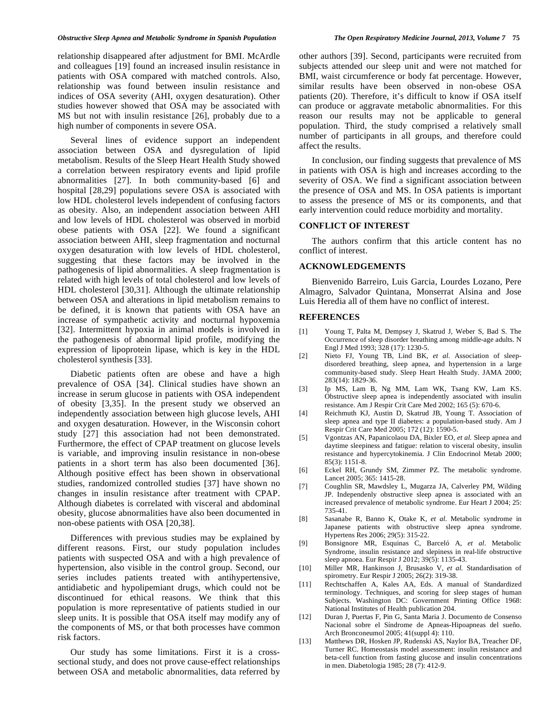relationship disappeared after adjustment for BMI. McArdle and colleagues [19] found an increased insulin resistance in patients with OSA compared with matched controls. Also, relationship was found between insulin resistance and indices of OSA severity (AHI, oxygen desaturation). Other studies however showed that OSA may be associated with MS but not with insulin resistance [26], probably due to a high number of components in severe OSA.

 Several lines of evidence support an independent association between OSA and dysregulation of lipid metabolism. Results of the Sleep Heart Health Study showed a correlation between respiratory events and lipid profile abnormalities [27]. In both community-based [6] and hospital [28,29] populations severe OSA is associated with low HDL cholesterol levels independent of confusing factors as obesity. Also, an independent association between AHI and low levels of HDL cholesterol was observed in morbid obese patients with OSA [22]. We found a significant association between AHI, sleep fragmentation and nocturnal oxygen desaturation with low levels of HDL cholesterol, suggesting that these factors may be involved in the pathogenesis of lipid abnormalities. A sleep fragmentation is related with high levels of total cholesterol and low levels of HDL cholesterol [30,31]. Although the ultimate relationship between OSA and alterations in lipid metabolism remains to be defined, it is known that patients with OSA have an increase of sympathetic activity and nocturnal hypoxemia [32]. Intermittent hypoxia in animal models is involved in the pathogenesis of abnormal lipid profile, modifying the expression of lipoprotein lipase, which is key in the HDL cholesterol synthesis [33].

 Diabetic patients often are obese and have a high prevalence of OSA [34]. Clinical studies have shown an increase in serum glucose in patients with OSA independent of obesity [3,35]. In the present study we observed an independently association between high glucose levels, AHI and oxygen desaturation. However, in the Wisconsin cohort study [27] this association had not been demonstrated. Furthermore, the effect of CPAP treatment on glucose levels is variable, and improving insulin resistance in non-obese patients in a short term has also been documented [36]. Although positive effect has been shown in observational studies, randomized controlled studies [37] have shown no changes in insulin resistance after treatment with CPAP. Although diabetes is correlated with visceral and abdominal obesity, glucose abnormalities have also been documented in non-obese patients with OSA [20,38].

 Differences with previous studies may be explained by different reasons. First, our study population includes patients with suspected OSA and with a high prevalence of hypertension, also visible in the control group. Second, our series includes patients treated with antihypertensive, antidiabetic and hypolipemiant drugs, which could not be discontinued for ethical reasons. We think that this population is more representative of patients studied in our sleep units. It is possible that OSA itself may modify any of the components of MS, or that both processes have common risk factors.

 Our study has some limitations. First it is a crosssectional study, and does not prove cause-effect relationships between OSA and metabolic abnormalities, data referred by other authors [39]. Second, participants were recruited from subjects attended our sleep unit and were not matched for BMI, waist circumference or body fat percentage. However, similar results have been observed in non-obese OSA patients (20). Therefore, it's difficult to know if OSA itself can produce or aggravate metabolic abnormalities. For this reason our results may not be applicable to general population. Third, the study comprised a relatively small number of participants in all groups, and therefore could affect the results.

 In conclusion, our finding suggests that prevalence of MS in patients with OSA is high and increases according to the severity of OSA. We find a significant association between the presence of OSA and MS. In OSA patients is important to assess the presence of MS or its components, and that early intervention could reduce morbidity and mortality.

## **CONFLICT OF INTEREST**

 The authors confirm that this article content has no conflict of interest.

#### **ACKNOWLEDGEMENTS**

 Bienvenido Barreiro, Luis Garcia, Lourdes Lozano, Pere Almagro, Salvador Quintana, Monserrat Alsina and Jose Luis Heredia all of them have no conflict of interest.

#### **REFERENCES**

- [1] Young T, Palta M, Dempsey J, Skatrud J, Weber S, Bad S. The Occurrence of sleep disorder breathing among middle-age adults. N Engl J Med 1993; 328 (17): 1230-5.
- [2] Nieto FJ, Young TB, Lind BK, *et al*. Association of sleepdisordered breathing, sleep apnea, and hypertension in a large community-based study. Sleep Heart Health Study. JAMA 2000; 283(14): 1829-36.
- [3] Ip MS, Lam B, Ng MM, Lam WK, Tsang KW, Lam KS. Obstructive sleep apnea is independently associated with insulin resistance. Am J Respir Crit Care Med 2002; 165 (5): 670-6.
- [4] Reichmuth KJ, Austin D, Skatrud JB, Young T. Association of sleep apnea and type II diabetes: a population-based study. Am J Respir Crit Care Med 2005; 172 (12): 1590-5.
- [5] Vgontzas AN, Papanicolaou DA, Bixler EO, *et al.* Sleep apnea and daytime sleepiness and fatigue: relation to visceral obesity, insulin resistance and hypercytokinemia. J Clin Endocrinol Metab 2000;  $85(3)$ : 1151-8.
- [6] Eckel RH, Grundy SM, Zimmer PZ. The metabolic syndrome. Lancet 2005; 365: 1415-28.
- [7] Coughlin SR, Mawdsley L, Mugarza JA, Calverley PM, Wilding JP. Independenly obstructive sleep apnea is associated with an increased prevalence of metabolic syndrome. Eur Heart J 2004; 25: 735-41.
- [8] Sasanabe R, Banno K, Otake K, *et al*. Metabolic syndrome in Japanese patients with obstructive sleep apnea syndrome. Hypertens Res 2006; 29(5): 315-22.
- [9] Bonsignore MR, Esquinas C, Barceló A, *et al*. Metabolic Syndrome, insulin resistance and slepiness in real-life obstructive sleep apnoea. Eur Respir J 2012; 39(5): 1135-43.
- [10] Miller MR, Hankinson J, Brusasko V, *et al.* Standardisation of spirometry. Eur Respir J 2005; 26(2): 319-38.
- [11] Rechtschaffen A, Kales AA, Eds. A manual of Standardized terminology. Techniques, and scoring for sleep stages of human Subjects. Washington DC: Government Printing Office 1968: National Institutes of Health publication 204.
- [12] Duran J, Puertas F, Pin G, Santa Maria J. Documento de Consenso Nacional sobre el Síndrome de Apneas-Hipoapneas del sueño. Arch Bronconeumol 2005; 41(suppl 4): 110.
- [13] Matthews DR, Hosken JP, Rudenski AS, Naylor BA, Treacher DF, Turner RC. Homeostasis model assessment: insulin resistance and beta-cell function from fasting glucose and insulin concentrations in men. Diabetologia 1985; 28 (7): 412-9.